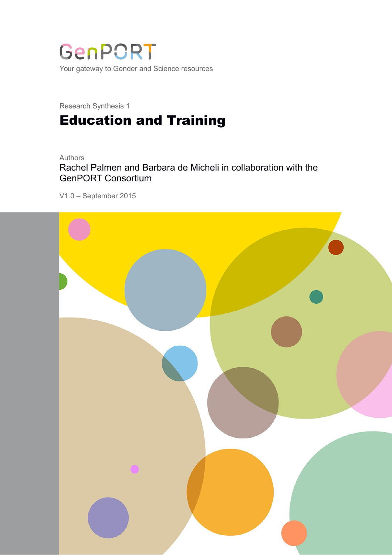

Research Synthesis 1

# Education and Training

#### Authors

Rachel Palmen and Barbara de Micheli in collaboration with the GenPORT Consortium

V1.0 – September 2015

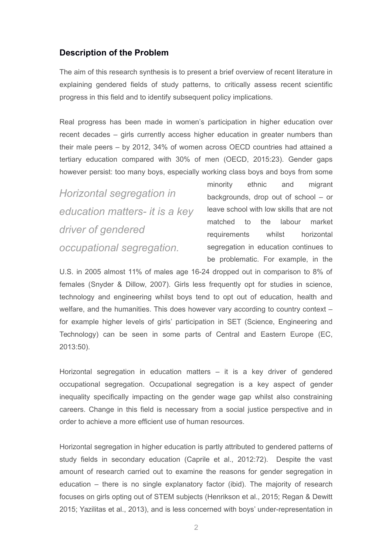# **Description of the Problem**

The aim of this research synthesis is to present a brief overview of recent literature in explaining gendered fields of study patterns, to critically assess recent scientific progress in this field and to identify subsequent policy implications.

Real progress has been made in women's participation in higher education over recent decades – girls currently access higher education in greater numbers than their male peers – by 2012, 34% of women across OECD countries had attained a tertiary education compared with 30% of men (OECD, 2015:23). Gender gaps however persist: too many boys, especially working class boys and boys from some

*Horizontal segregation in education matters- it is a key driver of gendered occupational segregation.*

minority ethnic and migrant backgrounds, drop out of school – or leave school with low skills that are not matched to the labour market requirements whilst horizontal segregation in education continues to be problematic. For example, in the

U.S. in 2005 almost 11% of males age 16-24 dropped out in comparison to 8% of females (Snyder & Dillow, 2007). Girls less frequently opt for studies in science, technology and engineering whilst boys tend to opt out of education, health and welfare, and the humanities. This does however vary according to country context – for example higher levels of girls' participation in SET (Science, Engineering and Technology) can be seen in some parts of Central and Eastern Europe (EC, 2013:50).

Horizontal segregation in education matters – it is a key driver of gendered occupational segregation. Occupational segregation is a key aspect of gender inequality specifically impacting on the gender wage gap whilst also constraining careers. Change in this field is necessary from a social justice perspective and in order to achieve a more efficient use of human resources.

Horizontal segregation in higher education is partly attributed to gendered patterns of study fields in secondary education (Caprile et al., 2012:72). Despite the vast amount of research carried out to examine the reasons for gender segregation in education – there is no single explanatory factor (ibid). The majority of research focuses on girls opting out of STEM subjects (Henrikson et al., 2015; Regan & Dewitt 2015; Yazilitas et al., 2013), and is less concerned with boys' under-representation in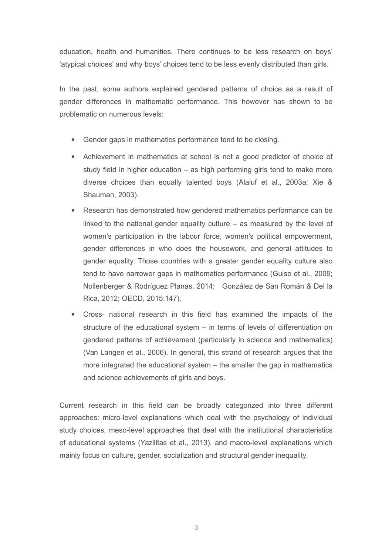education, health and humanities. There continues to be less research on boys' 'atypical choices' and why boys' choices tend to be less evenly distributed than girls.

In the past, some authors explained gendered patterns of choice as a result of gender differences in mathematic performance. This however has shown to be problematic on numerous levels:

- Gender gaps in mathematics performance tend to be closing.
- Achievement in mathematics at school is not a good predictor of choice of study field in higher education – as high performing girls tend to make more diverse choices than equally talented boys (Alaluf et al., 2003a; Xie & Shauman, 2003).
- Research has demonstrated how gendered mathematics performance can be linked to the national gender equality culture  $-$  as measured by the level of women's participation in the labour force, women's political empowerment, gender differences in who does the housework, and general attitudes to gender equality. Those countries with a greater gender equality culture also tend to have narrower gaps in mathematics performance (Guiso et al., 2009; Nollenberger & Rodríguez Planas, 2014; González de San Román & Del la Rica, 2012; OECD, 2015:147).
- Cross- national research in this field has examined the impacts of the structure of the educational system – in terms of levels of differentiation on gendered patterns of achievement (particularly in science and mathematics) (Van Langen et al., 2006). In general, this strand of research argues that the more integrated the educational system – the smaller the gap in mathematics and science achievements of girls and boys.

Current research in this field can be broadly categorized into three different approaches: micro-level explanations which deal with the psychology of individual study choices, meso-level approaches that deal with the institutional characteristics of educational systems (Yazilitas et al., 2013), and macro-level explanations which mainly focus on culture, gender, socialization and structural gender inequality.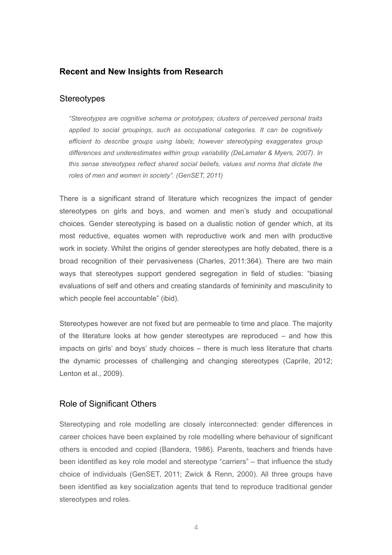# **Recent and New Insights from Research**

## **Stereotypes**

*"Stereotypes are cognitive schema or prototypes; clusters of perceived personal traits applied to social groupings, such as occupational categories. It can be cognitively efficient to describe groups using labels; however stereotyping exaggerates group differences and underestimates within group variability (DeLamater & Myers, 2007). In this sense stereotypes reflect shared social beliefs, values and norms that dictate the roles of men and women in society". (GenSET, 2011)*

There is a significant strand of literature which recognizes the impact of gender stereotypes on girls and boys, and women and men's study and occupational choices. Gender stereotyping is based on a dualistic notion of gender which, at its most reductive, equates women with reproductive work and men with productive work in society. Whilst the origins of gender stereotypes are hotly debated, there is a broad recognition of their pervasiveness (Charles, 2011:364). There are two main ways that stereotypes support gendered segregation in field of studies: "biasing evaluations of self and others and creating standards of femininity and masculinity to which people feel accountable" (ibid).

Stereotypes however are not fixed but are permeable to time and place. The majority of the literature looks at how gender stereotypes are reproduced – and how this impacts on girls' and boys' study choices – there is much less literature that charts the dynamic processes of challenging and changing stereotypes (Caprile, 2012; Lenton et al., 2009).

# Role of Significant Others

Stereotyping and role modelling are closely interconnected: gender differences in career choices have been explained by role modelling where behaviour of significant others is encoded and copied (Bandera, 1986). Parents, teachers and friends have been identified as key role model and stereotype "carriers" – that influence the study choice of individuals (GenSET, 2011; Zwick & Renn, 2000). All three groups have been identified as key socialization agents that tend to reproduce traditional gender stereotypes and roles.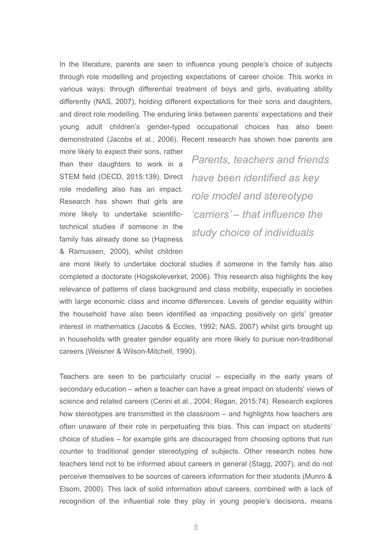In the literature, parents are seen to influence young people's choice of subjects through role modelling and projecting expectations of career choice. This works in various ways: through differential treatment of boys and girls, evaluating ability differently (NAS, 2007), holding different expectations for their sons and daughters, and direct role modelling. The enduring links between parents' expectations and their young adult children's gender-typed occupational choices has also been demonstrated (Jacobs et al., 2006). Recent research has shown how parents are

more likely to expect their sons, rather than their daughters to work in a STEM field (OECD, 2015:139). Direct role modelling also has an impact. Research has shown that girls are more likely to undertake scientifictechnical studies if someone in the family has already done so (Hapness & Ramussen, 2000), whilst children

*Parents, teachers and friends have been identified as key role model and stereotype 'carriers' – that influence the study choice of individuals*

are more likely to undertake doctoral studies if someone in the family has also completed a doctorate (Högskoleverket, 2006). This research also highlights the key relevance of patterns of class background and class mobility, especially in societies with large economic class and income differences. Levels of gender equality within the household have also been identified as impacting positively on girls' greater interest in mathematics (Jacobs & Eccles, 1992; NAS, 2007) whilst girls brought up in households with greater gender equality are more likely to pursue non-traditional careers (Weisner & Wilson-Mitchell, 1990).

Teachers are seen to be particularly crucial – especially in the early years of secondary education – when a teacher can have a great impact on students' views of science and related careers (Cerini et al., 2004; Regan, 2015:74). Research explores how stereotypes are transmitted in the classroom – and highlights how teachers are often unaware of their role in perpetuating this bias. This can impact on students' choice of studies – for example girls are discouraged from choosing options that run counter to traditional gender stereotyping of subjects. Other research notes how teachers tend not to be informed about careers in general (Stagg, 2007), and do not perceive themselves to be sources of careers information for their students (Munro & Elsom, 2000). This lack of solid information about careers, combined with a lack of recognition of the influential role they play in young people's decisions, means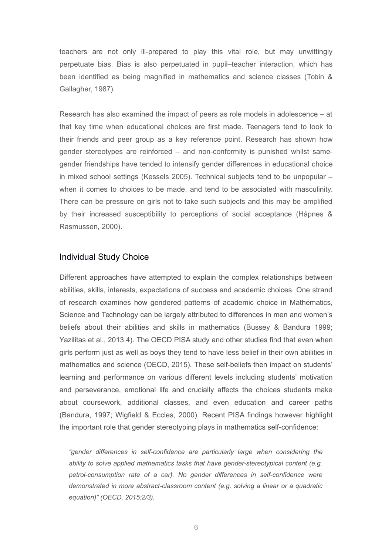teachers are not only ill-prepared to play this vital role, but may unwittingly perpetuate bias. Bias is also perpetuated in pupil–teacher interaction, which has been identified as being magnified in mathematics and science classes (Tobin & Gallagher, 1987).

Research has also examined the impact of peers as role models in adolescence – at that key time when educational choices are first made. Teenagers tend to look to their friends and peer group as a key reference point. Research has shown how gender stereotypes are reinforced – and non-conformity is punished whilst samegender friendships have tended to intensify gender differences in educational choice in mixed school settings (Kessels 2005). Technical subjects tend to be unpopular – when it comes to choices to be made, and tend to be associated with masculinity. There can be pressure on girls not to take such subjects and this may be amplified by their increased susceptibility to perceptions of social acceptance (Håpnes & Rasmussen, 2000).

#### Individual Study Choice

Different approaches have attempted to explain the complex relationships between abilities, skills, interests, expectations of success and academic choices. One strand of research examines how gendered patterns of academic choice in Mathematics, Science and Technology can be largely attributed to differences in men and women's beliefs about their abilities and skills in mathematics (Bussey & Bandura 1999; Yazilitas et al., 2013:4). The OECD PISA study and other studies find that even when girls perform just as well as boys they tend to have less belief in their own abilities in mathematics and science (OECD, 2015). These self-beliefs then impact on students' learning and performance on various different levels including students' motivation and perseverance, emotional life and crucially affects the choices students make about coursework, additional classes, and even education and career paths (Bandura, 1997; Wigfield & Eccles, 2000). Recent PISA findings however highlight the important role that gender stereotyping plays in mathematics self-confidence:

*"gender differences in self-confidence are particularly large when considering the ability to solve applied mathematics tasks that have gender-stereotypical content (e.g. petrol-consumption rate of a car). No gender differences in self-confidence were demonstrated in more abstract-classroom content (e.g. solving a linear or a quadratic equation)" (OECD, 2015:2/3).*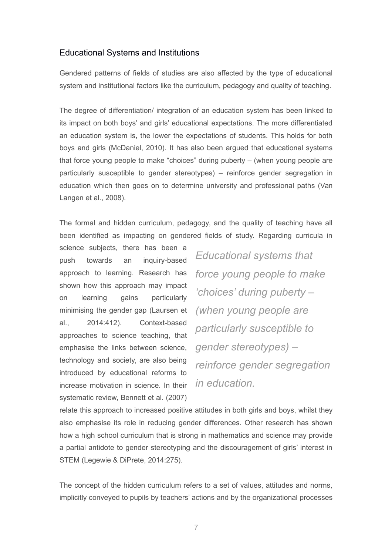## Educational Systems and Institutions

Gendered patterns of fields of studies are also affected by the type of educational system and institutional factors like the curriculum, pedagogy and quality of teaching.

The degree of differentiation/ integration of an education system has been linked to its impact on both boys' and girls' educational expectations. The more differentiated an education system is, the lower the expectations of students. This holds for both boys and girls (McDaniel, 2010). It has also been argued that educational systems that force young people to make "choices" during puberty – (when young people are particularly susceptible to gender stereotypes) – reinforce gender segregation in education which then goes on to determine university and professional paths (Van Langen et al., 2008).

The formal and hidden curriculum, pedagogy, and the quality of teaching have all been identified as impacting on gendered fields of study. Regarding curricula in

science subjects, there has been a push towards an inquiry-based approach to learning. Research has shown how this approach may impact on learning gains particularly minimising the gender gap (Laursen et al., 2014:412). Context-based approaches to science teaching, that emphasise the links between science, technology and society, are also being introduced by educational reforms to increase motivation in science. In their systematic review, Bennett et al. (2007)

*Educational systems that force young people to make 'choices' during puberty – (when young people are particularly susceptible to gender stereotypes) – reinforce gender segregation in education.*

relate this approach to increased positive attitudes in both girls and boys, whilst they also emphasise its role in reducing gender differences. Other research has shown how a high school curriculum that is strong in mathematics and science may provide a partial antidote to gender stereotyping and the discouragement of girls' interest in STEM (Legewie & DiPrete, 2014:275).

The concept of the hidden curriculum refers to a set of values, attitudes and norms, implicitly conveyed to pupils by teachers' actions and by the organizational processes

7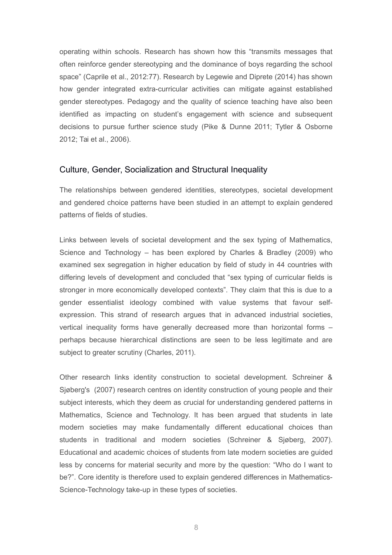operating within schools. Research has shown how this "transmits messages that often reinforce gender stereotyping and the dominance of boys regarding the school space" (Caprile et al., 2012:77). Research by Legewie and Diprete (2014) has shown how gender integrated extra-curricular activities can mitigate against established gender stereotypes. Pedagogy and the quality of science teaching have also been identified as impacting on student's engagement with science and subsequent decisions to pursue further science study (Pike & Dunne 2011; Tytler & Osborne 2012; Tai et al., 2006).

### Culture, Gender, Socialization and Structural Inequality

The relationships between gendered identities, stereotypes, societal development and gendered choice patterns have been studied in an attempt to explain gendered patterns of fields of studies.

Links between levels of societal development and the sex typing of Mathematics, Science and Technology – has been explored by Charles & Bradley (2009) who examined sex segregation in higher education by field of study in 44 countries with differing levels of development and concluded that "sex typing of curricular fields is stronger in more economically developed contexts". They claim that this is due to a gender essentialist ideology combined with value systems that favour selfexpression. This strand of research argues that in advanced industrial societies, vertical inequality forms have generally decreased more than horizontal forms – perhaps because hierarchical distinctions are seen to be less legitimate and are subject to greater scrutiny (Charles, 2011).

Other research links identity construction to societal development. Schreiner & Sjøberg's (2007) research centres on identity construction of young people and their subject interests, which they deem as crucial for understanding gendered patterns in Mathematics, Science and Technology. It has been argued that students in late modern societies may make fundamentally different educational choices than students in traditional and modern societies (Schreiner & Sjøberg, 2007). Educational and academic choices of students from late modern societies are guided less by concerns for material security and more by the question: "Who do I want to be?". Core identity is therefore used to explain gendered differences in Mathematics-Science-Technology take-up in these types of societies.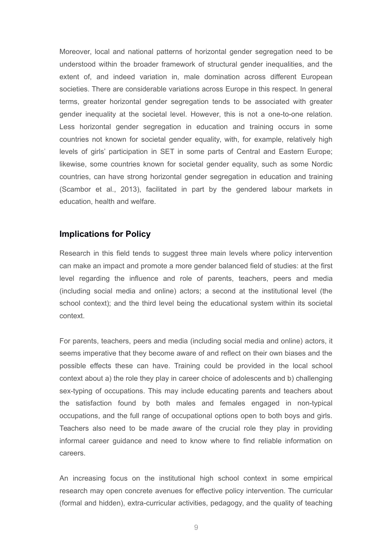Moreover, local and national patterns of horizontal gender segregation need to be understood within the broader framework of structural gender inequalities, and the extent of, and indeed variation in, male domination across different European societies. There are considerable variations across Europe in this respect. In general terms, greater horizontal gender segregation tends to be associated with greater gender inequality at the societal level. However, this is not a one-to-one relation. Less horizontal gender segregation in education and training occurs in some countries not known for societal gender equality, with, for example, relatively high levels of girls' participation in SET in some parts of Central and Eastern Europe; likewise, some countries known for societal gender equality, such as some Nordic countries, can have strong horizontal gender segregation in education and training (Scambor et al., 2013), facilitated in part by the gendered labour markets in education, health and welfare.

#### **Implications for Policy**

Research in this field tends to suggest three main levels where policy intervention can make an impact and promote a more gender balanced field of studies: at the first level regarding the influence and role of parents, teachers, peers and media (including social media and online) actors; a second at the institutional level (the school context); and the third level being the educational system within its societal context.

For parents, teachers, peers and media (including social media and online) actors, it seems imperative that they become aware of and reflect on their own biases and the possible effects these can have. Training could be provided in the local school context about a) the role they play in career choice of adolescents and b) challenging sex-typing of occupations. This may include educating parents and teachers about the satisfaction found by both males and females engaged in non-typical occupations, and the full range of occupational options open to both boys and girls. Teachers also need to be made aware of the crucial role they play in providing informal career guidance and need to know where to find reliable information on careers.

An increasing focus on the institutional high school context in some empirical research may open concrete avenues for effective policy intervention. The curricular (formal and hidden), extra-curricular activities, pedagogy, and the quality of teaching

9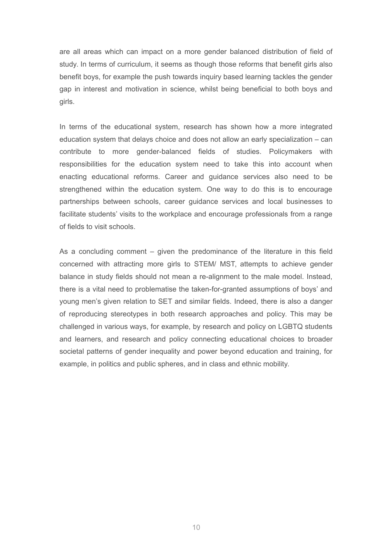are all areas which can impact on a more gender balanced distribution of field of study. In terms of curriculum, it seems as though those reforms that benefit girls also benefit boys, for example the push towards inquiry based learning tackles the gender gap in interest and motivation in science, whilst being beneficial to both boys and girls.

In terms of the educational system, research has shown how a more integrated education system that delays choice and does not allow an early specialization – can contribute to more gender-balanced fields of studies. Policymakers with responsibilities for the education system need to take this into account when enacting educational reforms. Career and guidance services also need to be strengthened within the education system. One way to do this is to encourage partnerships between schools, career guidance services and local businesses to facilitate students' visits to the workplace and encourage professionals from a range of fields to visit schools.

As a concluding comment – given the predominance of the literature in this field concerned with attracting more girls to STEM/ MST, attempts to achieve gender balance in study fields should not mean a re-alignment to the male model. Instead, there is a vital need to problematise the taken-for-granted assumptions of boys' and young men's given relation to SET and similar fields. Indeed, there is also a danger of reproducing stereotypes in both research approaches and policy. This may be challenged in various ways, for example, by research and policy on LGBTQ students and learners, and research and policy connecting educational choices to broader societal patterns of gender inequality and power beyond education and training, for example, in politics and public spheres, and in class and ethnic mobility.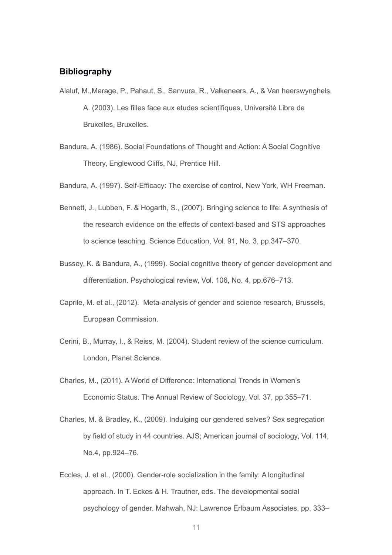# **Bibliography**

- Alaluf, M.,Marage, P., Pahaut, S., Sanvura, R., Valkeneers, A., & Van heerswynghels, A. (2003). Les filles face aux etudes scientifiques, Université Libre de Bruxelles, Bruxelles.
- Bandura, A. (1986). Social Foundations of Thought and Action: A Social Cognitive Theory, Englewood Cliffs, NJ, Prentice Hill.

Bandura, A. (1997). Self-Efficacy: The exercise of control, New York, WH Freeman.

- Bennett, J., Lubben, F. & Hogarth, S., (2007). Bringing science to life: A synthesis of the research evidence on the effects of context-based and STS approaches to science teaching. Science Education, Vol. 91, No. 3, pp.347–370.
- Bussey, K. & Bandura, A., (1999). Social cognitive theory of gender development and differentiation. Psychological review, Vol. 106, No. 4, pp.676–713.
- Caprile, M. et al., (2012). Meta-analysis of gender and science research, Brussels, European Commission.
- Cerini, B., Murray, I., & Reiss, M. (2004). Student review of the science curriculum. London, Planet Science.
- Charles, M., (2011). A World of Difference: International Trends in Women's Economic Status. The Annual Review of Sociology, Vol. 37, pp.355–71.
- Charles, M. & Bradley, K., (2009). Indulging our gendered selves? Sex segregation by field of study in 44 countries. AJS; American journal of sociology, Vol. 114, No.4, pp.924–76.
- Eccles, J. et al., (2000). Gender-role socialization in the family: A longitudinal approach. In T. Eckes & H. Trautner, eds. The developmental social psychology of gender. Mahwah, NJ: Lawrence Erlbaum Associates, pp. 333–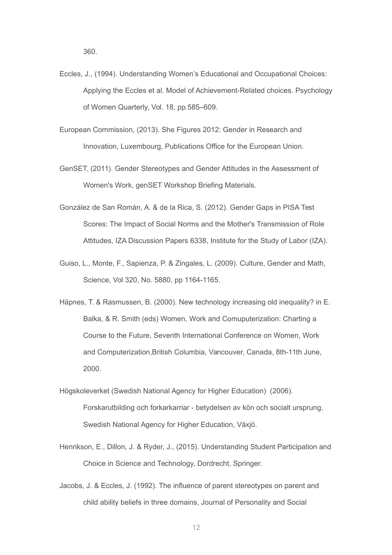- Eccles, J., (1994). Understanding Women's Educational and Occupational Choices: Applying the Eccles et al. Model of Achievement-Related choices. Psychology of Women Quarterly, Vol. 18, pp.585–609.
- European Commission, (2013). She Figures 2012: Gender in Research and Innovation, Luxembourg, Publications Office for the European Union.
- GenSET, (2011). Gender Stereotypes and Gender Attitudes in the Assessment of Women's Work, genSET Workshop Briefing Materials.
- González de San Román, A. & de la Rica, S. (2012). Gender Gaps in PISA Test Scores: The Impact of Social Norms and the Mother's Transmission of Role Attitudes, IZA Discussion Papers 6338, Institute for the Study of Labor (IZA).
- Guiso, L., Monte, F., Sapienza, P. & Zingales, L. (2009). Culture, Gender and Math, Science, Vol 320, No. 5880, pp 1164-1165.
- Häpnes, T. & Rasmussen, B. (2000). New technology increasing old inequality? in E. Balka, & R. Smith (eds) Women, Work and Comuputerization: Charting a Course to the Future, Seventh International Conference on Women, Work and Computerization,British Columbia, Vancouver, Canada, 8th-11th June, 2000.
- Högskoleverket (Swedish National Agency for Higher Education) (2006). Forskarutbilding och forkarkarriar - betydelsen av kön och socialt ursprung, Swedish National Agency for Higher Education, Växjö.
- Henrikson, E., Dillon, J. & Ryder, J., (2015). Understanding Student Participation and Choice in Science and Technology, Dordrecht, Springer.
- Jacobs, J. & Eccles, J. (1992). The influence of parent stereotypes on parent and child ability beliefs in three domains, Journal of Personality and Social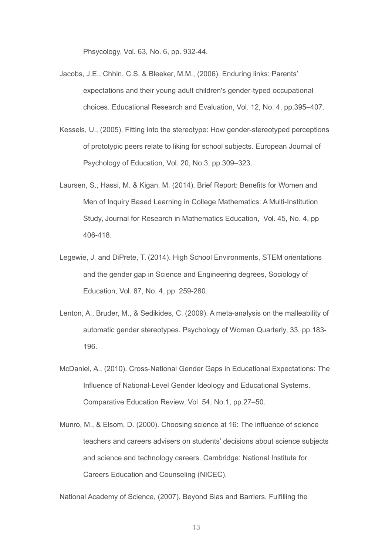Phsycology, Vol. 63, No. 6, pp. 932-44.

- Jacobs, J.E., Chhin, C.S. & Bleeker, M.M., (2006). Enduring links: Parents' expectations and their young adult children's gender-typed occupational choices. Educational Research and Evaluation, Vol. 12, No. 4, pp.395–407.
- Kessels, U., (2005). Fitting into the stereotype: How gender-stereotyped perceptions of prototypic peers relate to liking for school subjects. European Journal of Psychology of Education, Vol. 20, No.3, pp.309–323.
- Laursen, S., Hassi, M. & Kigan, M. (2014). Brief Report: Benefits for Women and Men of Inquiry Based Learning in College Mathematics: A Multi-Institution Study, Journal for Research in Mathematics Education, Vol. 45, No. 4, pp 406-418.
- Legewie, J. and DiPrete, T. (2014). High School Environments, STEM orientations and the gender gap in Science and Engineering degrees, Sociology of Education, Vol. 87, No. 4, pp. 259-280.
- Lenton, A., Bruder, M., & Sedikides, C. (2009). A meta-analysis on the malleability of automatic gender stereotypes. Psychology of Women Quarterly, 33, pp.183- 196.
- McDaniel, A., (2010). Cross-National Gender Gaps in Educational Expectations: The Influence of National-Level Gender Ideology and Educational Systems. Comparative Education Review, Vol. 54, No.1, pp.27–50.
- Munro, M., & Elsom, D. (2000). Choosing science at 16: The influence of science teachers and careers advisers on students' decisions about science subjects and science and technology careers. Cambridge: National Institute for Careers Education and Counseling (NICEC).

National Academy of Science, (2007). Beyond Bias and Barriers. Fulfilling the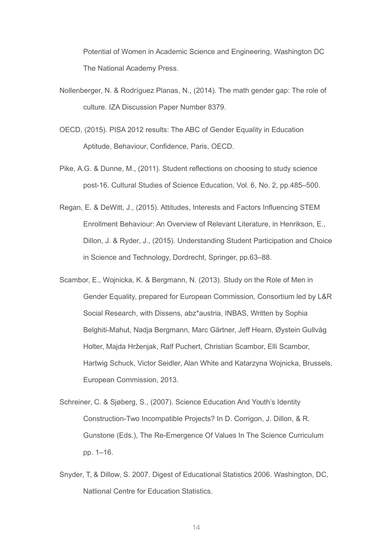Potential of Women in Academic Science and Engineering, Washington DC The National Academy Press.

- Nollenberger, N. & Rodríguez Planas, N., (2014). The math gender gap: The role of culture. IZA Discussion Paper Number 8379.
- OECD, (2015). PISA 2012 results: The ABC of Gender Equality in Education Aptitude, Behaviour, Confidence, Paris, OECD.
- Pike, A.G. & Dunne, M., (2011). Student reflections on choosing to study science post-16. Cultural Studies of Science Education, Vol. 6, No. 2, pp.485–500.
- Regan, E. & DeWitt, J., (2015). Attitudes, Interests and Factors Influencing STEM Enrollment Behaviour: An Overview of Relevant Literature, in Henrikson, E., Dillon, J. & Ryder, J., (2015). Understanding Student Participation and Choice in Science and Technology, Dordrecht, Springer, pp.63–88.
- Scambor, E., Wojnicka, K. & Bergmann, N. (2013). Study on the Role of Men in Gender Equality, prepared for European Commission, Consortium led by L&R Social Research, with Dissens, abz\*austria, INBAS, Written by Sophia Belghiti-Mahut, Nadja Bergmann, Marc Gärtner, Jeff Hearn, Øystein Gullvåg Holter, Majda Hrženjak, Ralf Puchert, Christian Scambor, Elli Scambor, Hartwig Schuck, Victor Seidler, Alan White and Katarzyna Wojnicka, Brussels, European Commission, 2013.
- Schreiner, C. & Sjøberg, S., (2007). Science Education And Youth's Identity Construction-Two Incompatible Projects? In D. Corrigon, J. Dillon, & R. Gunstone (Eds.), The Re-Emergence Of Values In The Science Curriculum pp. 1–16.
- Snyder, T, & Dillow, S. 2007. Digest of Educational Statistics 2006. Washington, DC, Natlional Centre for Education Statistics.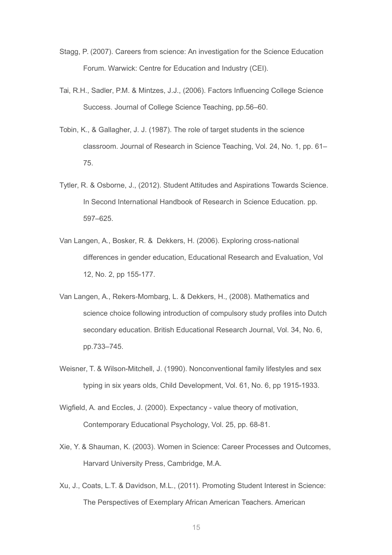- Stagg, P. (2007). Careers from science: An investigation for the Science Education Forum. Warwick: Centre for Education and Industry (CEI).
- Tai, R.H., Sadler, P.M. & Mintzes, J.J., (2006). Factors Influencing College Science Success. Journal of College Science Teaching, pp.56–60.
- Tobin, K., & Gallagher, J. J. (1987). The role of target students in the science classroom. Journal of Research in Science Teaching, Vol. 24, No. 1, pp. 61– 75.
- Tytler, R. & Osborne, J., (2012). Student Attitudes and Aspirations Towards Science. In Second International Handbook of Research in Science Education. pp. 597–625.
- Van Langen, A., Bosker, R. & Dekkers, H. (2006). Exploring cross-national differences in gender education, Educational Research and Evaluation, Vol 12, No. 2, pp 155-177.
- Van Langen, A., Rekers-Mombarg, L. & Dekkers, H., (2008). Mathematics and science choice following introduction of compulsory study profiles into Dutch secondary education. British Educational Research Journal, Vol. 34, No. 6, pp.733–745.
- Weisner, T. & Wilson-Mitchell, J. (1990). Nonconventional family lifestyles and sex typing in six years olds, Child Development, Vol. 61, No. 6, pp 1915-1933.
- Wigfield, A. and Eccles, J. (2000). Expectancy value theory of motivation, Contemporary Educational Psychology, Vol. 25, pp. 68-81.
- Xie, Y. & Shauman, K. (2003). Women in Science: Career Processes and Outcomes, Harvard University Press, Cambridge, M.A.
- Xu, J., Coats, L.T. & Davidson, M.L., (2011). Promoting Student Interest in Science: The Perspectives of Exemplary African American Teachers. American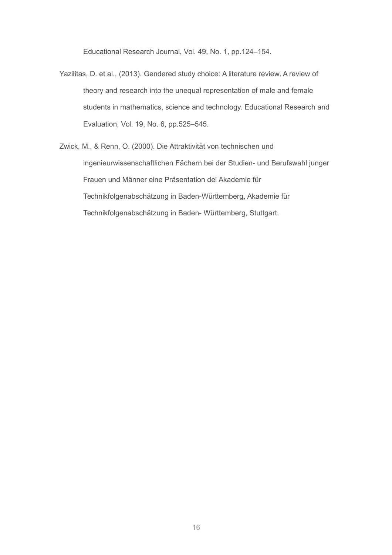Educational Research Journal, Vol. 49, No. 1, pp.124–154.

- Yazilitas, D. et al., (2013). Gendered study choice: A literature review. A review of theory and research into the unequal representation of male and female students in mathematics, science and technology. Educational Research and Evaluation, Vol. 19, No. 6, pp.525–545.
- Zwick, M., & Renn, O. (2000). Die Attraktivität von technischen und ingenieurwissenschaftlichen Fächern bei der Studien- und Berufswahl junger Frauen und Männer eine Präsentation del Akademie für Technikfolgenabschätzung in Baden-Württemberg, Akademie für Technikfolgenabschätzung in Baden- Württemberg, Stuttgart.